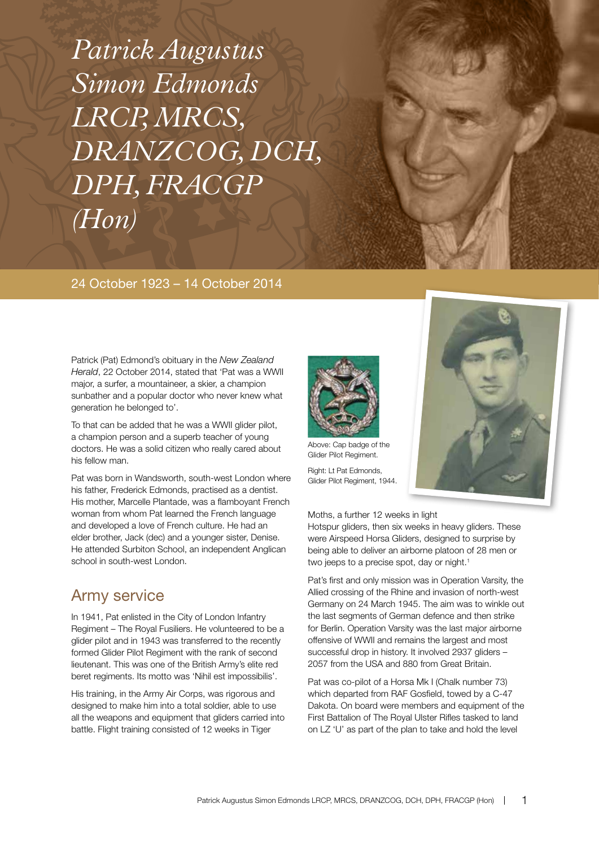*Patrick Augustus Simon Edmonds LRCP, MRCS, DRANZCOG, DCH, DPH, FRACGP (Hon)*

#### 24 October 1923 – 14 October 2014

Patrick (Pat) Edmond's obituary in the *New Zealand Herald*, 22 October 2014, stated that 'Pat was a WWII major, a surfer, a mountaineer, a skier, a champion sunbather and a popular doctor who never knew what generation he belonged to'.

To that can be added that he was a WWII glider pilot, a champion person and a superb teacher of young doctors. He was a solid citizen who really cared about his fellow man.

Pat was born in Wandsworth, south-west London where his father, Frederick Edmonds, practised as a dentist. His mother, Marcelle Plantade, was a flamboyant French woman from whom Pat learned the French language and developed a love of French culture. He had an elder brother, Jack (dec) and a younger sister, Denise. He attended Surbiton School, an independent Anglican school in south-west London.

### Army service

In 1941, Pat enlisted in the City of London Infantry Regiment – The Royal Fusiliers. He volunteered to be a glider pilot and in 1943 was transferred to the recently formed Glider Pilot Regiment with the rank of second lieutenant. This was one of the British Army's elite red beret regiments. Its motto was 'Nihil est impossibilis'.

His training, in the Army Air Corps, was rigorous and designed to make him into a total soldier, able to use all the weapons and equipment that gliders carried into battle. Flight training consisted of 12 weeks in Tiger



Above: Cap badge of the Glider Pilot Regiment.

Right: Lt Pat Edmonds, Glider Pilot Regiment, 1944.



Hotspur gliders, then six weeks in heavy gliders. These were Airspeed Horsa Gliders, designed to surprise by being able to deliver an airborne platoon of 28 men or two jeeps to a precise spot, day or night.<sup>1</sup>

Pat's first and only mission was in Operation Varsity, the Allied crossing of the Rhine and invasion of north-west Germany on 24 March 1945. The aim was to winkle out the last segments of German defence and then strike for Berlin. Operation Varsity was the last major airborne offensive of WWII and remains the largest and most successful drop in history. It involved 2937 gliders – 2057 from the USA and 880 from Great Britain.

Pat was co-pilot of a Horsa Mk I (Chalk number 73) which departed from RAF Gosfield, towed by a C-47 Dakota. On board were members and equipment of the First Battalion of The Royal Ulster Rifles tasked to land on LZ 'U' as part of the plan to take and hold the level

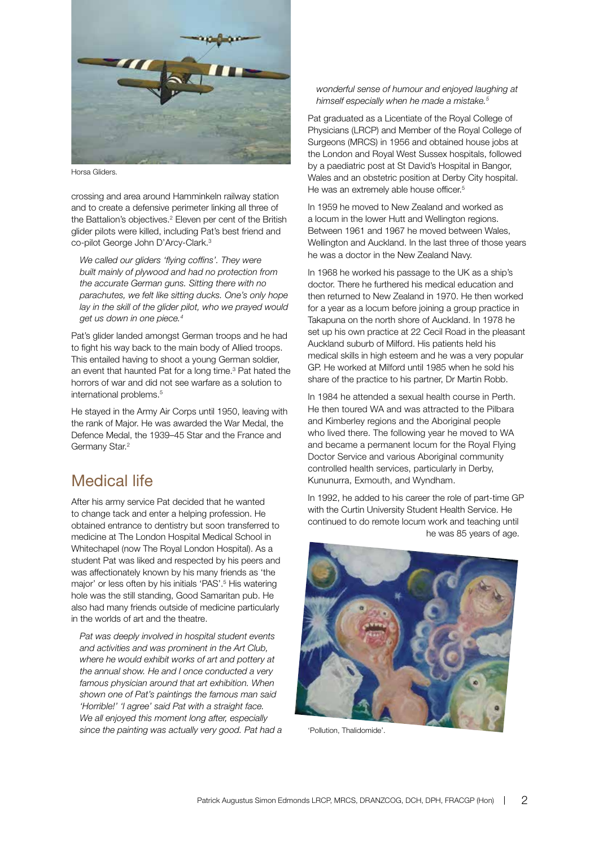

Horsa Gliders.

crossing and area around Hamminkeln railway station and to create a defensive perimeter linking all three of the Battalion's objectives.<sup>2</sup> Eleven per cent of the British glider pilots were killed, including Pat's best friend and co-pilot George John D'Arcy-Clark.<sup>3</sup>

*We called our gliders 'flying coffins'. They were built mainly of plywood and had no protection from the accurate German guns. Sitting there with no parachutes, we felt like sitting ducks. One's only hope lay in the skill of the glider pilot, who we prayed would get us down in one piece.4*

Pat's glider landed amongst German troops and he had to fight his way back to the main body of Allied troops. This entailed having to shoot a young German soldier, an event that haunted Pat for a long time.<sup>3</sup> Pat hated the horrors of war and did not see warfare as a solution to international problems.5

He stayed in the Army Air Corps until 1950, leaving with the rank of Major. He was awarded the War Medal, the Defence Medal, the 1939–45 Star and the France and Germany Star.<sup>2</sup>

## Medical life

After his army service Pat decided that he wanted to change tack and enter a helping profession. He obtained entrance to dentistry but soon transferred to medicine at The London Hospital Medical School in Whitechapel (now The Royal London Hospital). As a student Pat was liked and respected by his peers and was affectionately known by his many friends as 'the major' or less often by his initials 'PAS'.<sup>5</sup> His watering hole was the still standing, Good Samaritan pub. He also had many friends outside of medicine particularly in the worlds of art and the theatre.

*Pat was deeply involved in hospital student events and activities and was prominent in the Art Club, where he would exhibit works of art and pottery at the annual show. He and I once conducted a very famous physician around that art exhibition. When shown one of Pat's paintings the famous man said 'Horrible!' 'I agree' said Pat with a straight face. We all enjoyed this moment long after, especially since the painting was actually very good. Pat had a* 

#### *wonderful sense of humour and enjoyed laughing at himself especially when he made a mistake.5*

Pat graduated as a Licentiate of the Royal College of Physicians (LRCP) and Member of the Royal College of Surgeons (MRCS) in 1956 and obtained house jobs at the London and Royal West Sussex hospitals, followed by a paediatric post at St David's Hospital in Bangor, Wales and an obstetric position at Derby City hospital. He was an extremely able house officer.<sup>5</sup>

In 1959 he moved to New Zealand and worked as a locum in the lower Hutt and Wellington regions. Between 1961 and 1967 he moved between Wales, Wellington and Auckland. In the last three of those years he was a doctor in the New Zealand Navy.

In 1968 he worked his passage to the UK as a ship's doctor. There he furthered his medical education and then returned to New Zealand in 1970. He then worked for a year as a locum before joining a group practice in Takapuna on the north shore of Auckland. In 1978 he set up his own practice at 22 Cecil Road in the pleasant Auckland suburb of Milford. His patients held his medical skills in high esteem and he was a very popular GP. He worked at Milford until 1985 when he sold his share of the practice to his partner, Dr Martin Robb.

In 1984 he attended a sexual health course in Perth. He then toured WA and was attracted to the Pilbara and Kimberley regions and the Aboriginal people who lived there. The following year he moved to WA and became a permanent locum for the Royal Flying Doctor Service and various Aboriginal community controlled health services, particularly in Derby, Kununurra, Exmouth, and Wyndham.

In 1992, he added to his career the role of part-time GP with the Curtin University Student Health Service. He continued to do remote locum work and teaching until he was 85 years of age.



'Pollution, Thalidomide'.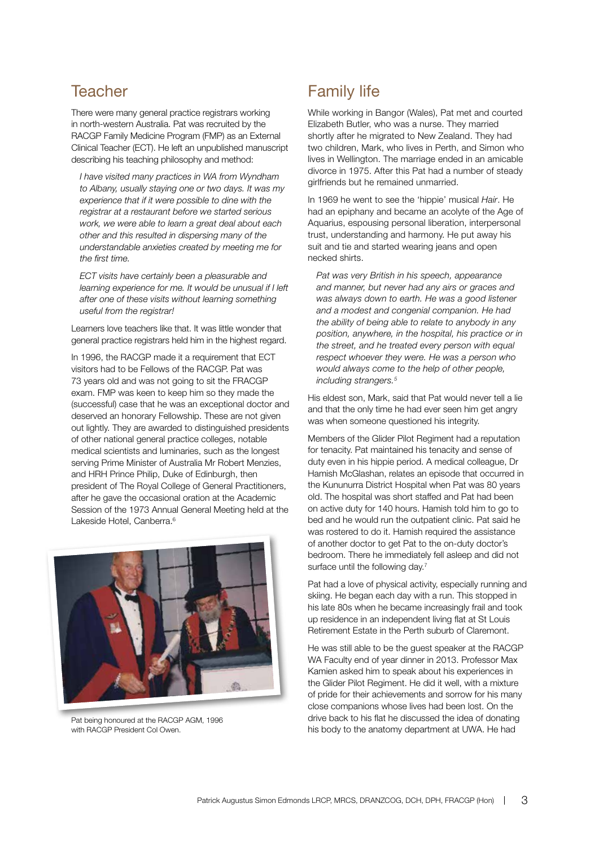## **Teacher**

There were many general practice registrars working in north-western Australia. Pat was recruited by the RACGP Family Medicine Program (FMP) as an External Clinical Teacher (ECT). He left an unpublished manuscript describing his teaching philosophy and method:

*I have visited many practices in WA from Wyndham to Albany, usually staying one or two days. It was my experience that if it were possible to dine with the registrar at a restaurant before we started serious work, we were able to learn a great deal about each other and this resulted in dispersing many of the understandable anxieties created by meeting me for the first time.* 

*ECT visits have certainly been a pleasurable and learning experience for me. It would be unusual if I left after one of these visits without learning something useful from the registrar!*

Learners love teachers like that. It was little wonder that general practice registrars held him in the highest regard.

In 1996, the RACGP made it a requirement that ECT visitors had to be Fellows of the RACGP. Pat was 73 years old and was not going to sit the FRACGP exam. FMP was keen to keep him so they made the (successful) case that he was an exceptional doctor and deserved an honorary Fellowship. These are not given out lightly. They are awarded to distinguished presidents of other national general practice colleges, notable medical scientists and luminaries, such as the longest serving Prime Minister of Australia Mr Robert Menzies, and HRH Prince Philip, Duke of Edinburgh, then president of The Royal College of General Practitioners, after he gave the occasional oration at the Academic Session of the 1973 Annual General Meeting held at the Lakeside Hotel, Canberra.<sup>6</sup>



Pat being honoured at the RACGP AGM, 1996 with RACGP President Col Owen.

# Family life

While working in Bangor (Wales), Pat met and courted Elizabeth Butler, who was a nurse. They married shortly after he migrated to New Zealand. They had two children, Mark, who lives in Perth, and Simon who lives in Wellington. The marriage ended in an amicable divorce in 1975. After this Pat had a number of steady girlfriends but he remained unmarried.

In 1969 he went to see the 'hippie' musical *Hair*. He had an epiphany and became an acolyte of the Age of Aquarius, espousing personal liberation, interpersonal trust, understanding and harmony. He put away his suit and tie and started wearing jeans and open necked shirts.

*Pat was very British in his speech, appearance and manner, but never had any airs or graces and was always down to earth. He was a good listener and a modest and congenial companion. He had the ability of being able to relate to anybody in any position, anywhere, in the hospital, his practice or in the street, and he treated every person with equal respect whoever they were. He was a person who would always come to the help of other people, including strangers.5*

His eldest son, Mark, said that Pat would never tell a lie and that the only time he had ever seen him get angry was when someone questioned his integrity.

Members of the Glider Pilot Regiment had a reputation for tenacity. Pat maintained his tenacity and sense of duty even in his hippie period. A medical colleague, Dr Hamish McGlashan, relates an episode that occurred in the Kununurra District Hospital when Pat was 80 years old. The hospital was short staffed and Pat had been on active duty for 140 hours. Hamish told him to go to bed and he would run the outpatient clinic. Pat said he was rostered to do it. Hamish required the assistance of another doctor to get Pat to the on-duty doctor's bedroom. There he immediately fell asleep and did not surface until the following day.<sup>7</sup>

Pat had a love of physical activity, especially running and skiing. He began each day with a run. This stopped in his late 80s when he became increasingly frail and took up residence in an independent living flat at St Louis Retirement Estate in the Perth suburb of Claremont.

He was still able to be the guest speaker at the RACGP WA Faculty end of year dinner in 2013. Professor Max Kamien asked him to speak about his experiences in the Glider Pilot Regiment. He did it well, with a mixture of pride for their achievements and sorrow for his many close companions whose lives had been lost. On the drive back to his flat he discussed the idea of donating his body to the anatomy department at UWA. He had